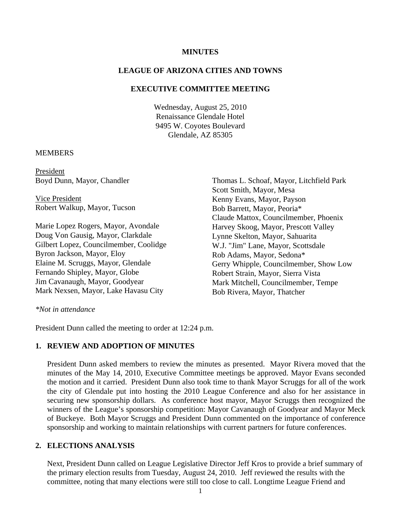#### **MINUTES**

#### **LEAGUE OF ARIZONA CITIES AND TOWNS**

#### **EXECUTIVE COMMITTEE MEETING**

Wednesday, August 25, 2010 Renaissance Glendale Hotel 9495 W. Coyotes Boulevard Glendale, AZ 85305

#### **MEMBERS**

President Boyd Dunn, Mayor, Chandler

 Vice President Robert Walkup, Mayor, Tucson

Marie Lopez Rogers, Mayor, Avondale Doug Von Gausig, Mayor, Clarkdale Gilbert Lopez, Councilmember, Coolidge Byron Jackson, Mayor, Eloy Elaine M. Scruggs, Mayor, Glendale Fernando Shipley, Mayor, Globe Jim Cavanaugh, Mayor, Goodyear Mark Nexsen, Mayor, Lake Havasu City

Thomas L. Schoaf, Mayor, Litchfield Park Scott Smith, Mayor, Mesa Kenny Evans, Mayor, Payson Bob Barrett, Mayor, Peoria\* Claude Mattox, Councilmember, Phoenix Harvey Skoog, Mayor, Prescott Valley Lynne Skelton, Mayor, Sahuarita W.J. "Jim" Lane, Mayor, Scottsdale Rob Adams, Mayor, Sedona\* Gerry Whipple, Councilmember, Show Low Robert Strain, Mayor, Sierra Vista Mark Mitchell, Councilmember, Tempe Bob Rivera, Mayor, Thatcher

#### *\*Not in attendance*

President Dunn called the meeting to order at 12:24 p.m.

### **1. REVIEW AND ADOPTION OF MINUTES**

President Dunn asked members to review the minutes as presented. Mayor Rivera moved that the minutes of the May 14, 2010, Executive Committee meetings be approved. Mayor Evans seconded the motion and it carried. President Dunn also took time to thank Mayor Scruggs for all of the work the city of Glendale put into hosting the 2010 League Conference and also for her assistance in securing new sponsorship dollars. As conference host mayor, Mayor Scruggs then recognized the winners of the League's sponsorship competition: Mayor Cavanaugh of Goodyear and Mayor Meck of Buckeye. Both Mayor Scruggs and President Dunn commented on the importance of conference sponsorship and working to maintain relationships with current partners for future conferences.

#### **2. ELECTIONS ANALYSIS**

Next, President Dunn called on League Legislative Director Jeff Kros to provide a brief summary of the primary election results from Tuesday, August 24, 2010. Jeff reviewed the results with the committee, noting that many elections were still too close to call. Longtime League Friend and

1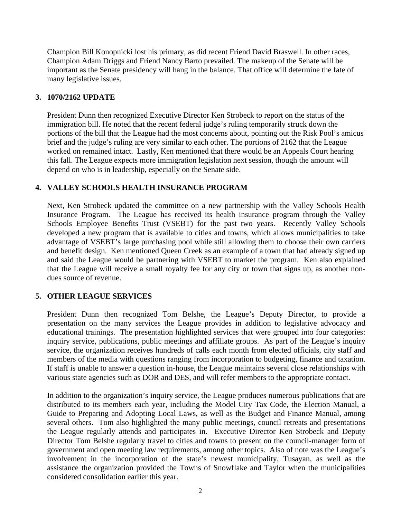Champion Bill Konopnicki lost his primary, as did recent Friend David Braswell. In other races, Champion Adam Driggs and Friend Nancy Barto prevailed. The makeup of the Senate will be important as the Senate presidency will hang in the balance. That office will determine the fate of many legislative issues.

## **3. 1070/2162 UPDATE**

President Dunn then recognized Executive Director Ken Strobeck to report on the status of the immigration bill. He noted that the recent federal judge's ruling temporarily struck down the portions of the bill that the League had the most concerns about, pointing out the Risk Pool's amicus brief and the judge's ruling are very similar to each other. The portions of 2162 that the League worked on remained intact. Lastly, Ken mentioned that there would be an Appeals Court hearing this fall. The League expects more immigration legislation next session, though the amount will depend on who is in leadership, especially on the Senate side.

## **4. VALLEY SCHOOLS HEALTH INSURANCE PROGRAM**

Next, Ken Strobeck updated the committee on a new partnership with the Valley Schools Health Insurance Program. The League has received its health insurance program through the Valley Schools Employee Benefits Trust (VSEBT) for the past two years. Recently Valley Schools developed a new program that is available to cities and towns, which allows municipalities to take advantage of VSEBT's large purchasing pool while still allowing them to choose their own carriers and benefit design. Ken mentioned Queen Creek as an example of a town that had already signed up and said the League would be partnering with VSEBT to market the program. Ken also explained that the League will receive a small royalty fee for any city or town that signs up, as another nondues source of revenue.

## **5. OTHER LEAGUE SERVICES**

President Dunn then recognized Tom Belshe, the League's Deputy Director, to provide a presentation on the many services the League provides in addition to legislative advocacy and educational trainings. The presentation highlighted services that were grouped into four categories: inquiry service, publications, public meetings and affiliate groups. As part of the League's inquiry service, the organization receives hundreds of calls each month from elected officials, city staff and members of the media with questions ranging from incorporation to budgeting, finance and taxation. If staff is unable to answer a question in-house, the League maintains several close relationships with various state agencies such as DOR and DES, and will refer members to the appropriate contact.

In addition to the organization's inquiry service, the League produces numerous publications that are distributed to its members each year, including the Model City Tax Code, the Election Manual, a Guide to Preparing and Adopting Local Laws, as well as the Budget and Finance Manual, among several others. Tom also highlighted the many public meetings, council retreats and presentations the League regularly attends and participates in. Executive Director Ken Strobeck and Deputy Director Tom Belshe regularly travel to cities and towns to present on the council-manager form of government and open meeting law requirements, among other topics. Also of note was the League's involvement in the incorporation of the state's newest municipality, Tusayan, as well as the assistance the organization provided the Towns of Snowflake and Taylor when the municipalities considered consolidation earlier this year.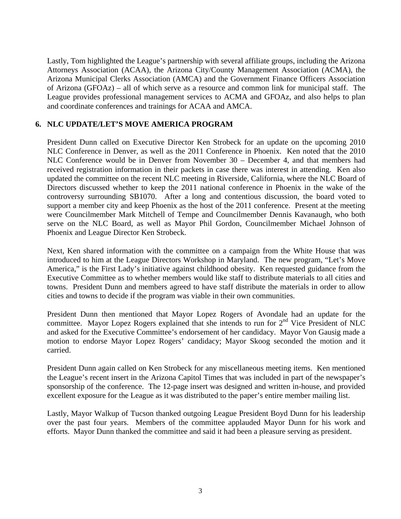Lastly, Tom highlighted the League's partnership with several affiliate groups, including the Arizona Attorneys Association (ACAA), the Arizona City/County Management Association (ACMA), the Arizona Municipal Clerks Association (AMCA) and the Government Finance Officers Association of Arizona (GFOAz) – all of which serve as a resource and common link for municipal staff. The League provides professional management services to ACMA and GFOAz, and also helps to plan and coordinate conferences and trainings for ACAA and AMCA.

## **6. NLC UPDATE/LET'S MOVE AMERICA PROGRAM**

President Dunn called on Executive Director Ken Strobeck for an update on the upcoming 2010 NLC Conference in Denver, as well as the 2011 Conference in Phoenix. Ken noted that the 2010 NLC Conference would be in Denver from November 30 – December 4, and that members had received registration information in their packets in case there was interest in attending. Ken also updated the committee on the recent NLC meeting in Riverside, California, where the NLC Board of Directors discussed whether to keep the 2011 national conference in Phoenix in the wake of the controversy surrounding SB1070. After a long and contentious discussion, the board voted to support a member city and keep Phoenix as the host of the 2011 conference. Present at the meeting were Councilmember Mark Mitchell of Tempe and Councilmember Dennis Kavanaugh, who both serve on the NLC Board, as well as Mayor Phil Gordon, Councilmember Michael Johnson of Phoenix and League Director Ken Strobeck.

Next, Ken shared information with the committee on a campaign from the White House that was introduced to him at the League Directors Workshop in Maryland. The new program, "Let's Move America," is the First Lady's initiative against childhood obesity. Ken requested guidance from the Executive Committee as to whether members would like staff to distribute materials to all cities and towns. President Dunn and members agreed to have staff distribute the materials in order to allow cities and towns to decide if the program was viable in their own communities.

President Dunn then mentioned that Mayor Lopez Rogers of Avondale had an update for the committee. Mayor Lopez Rogers explained that she intends to run for 2<sup>nd</sup> Vice President of NLC and asked for the Executive Committee's endorsement of her candidacy. Mayor Von Gausig made a motion to endorse Mayor Lopez Rogers' candidacy; Mayor Skoog seconded the motion and it carried.

President Dunn again called on Ken Strobeck for any miscellaneous meeting items. Ken mentioned the League's recent insert in the Arizona Capitol Times that was included in part of the newspaper's sponsorship of the conference. The 12-page insert was designed and written in-house, and provided excellent exposure for the League as it was distributed to the paper's entire member mailing list.

Lastly, Mayor Walkup of Tucson thanked outgoing League President Boyd Dunn for his leadership over the past four years. Members of the committee applauded Mayor Dunn for his work and efforts. Mayor Dunn thanked the committee and said it had been a pleasure serving as president.